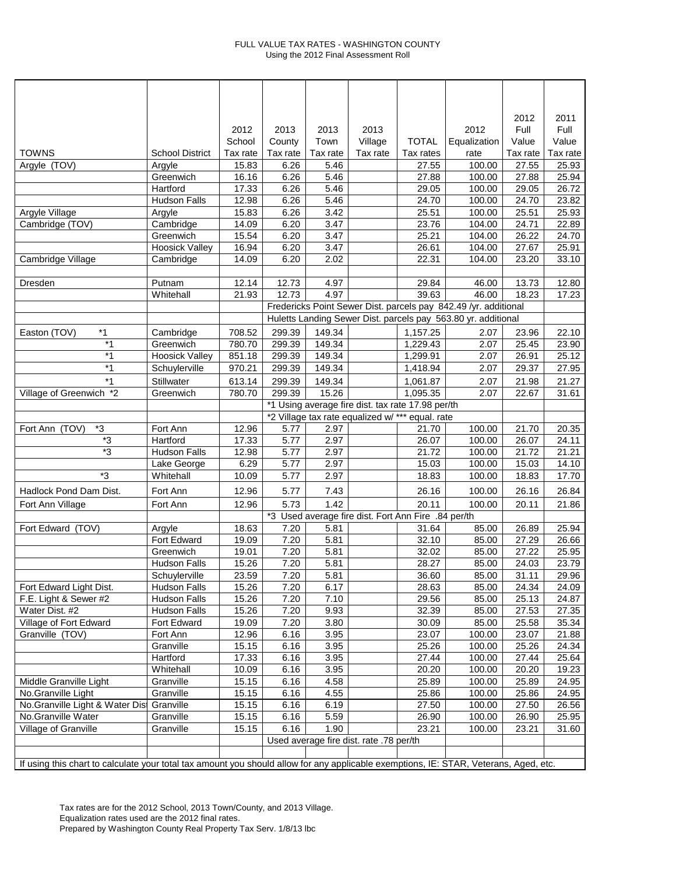## FULL VALUE TAX RATES - WASHINGTON COUNTY Using the 2012 Final Assessment Roll

|                                                                                                                                       |                        |          |                                                                                                       |          |                                         |              |                                                                 | 2012     | 2011     |
|---------------------------------------------------------------------------------------------------------------------------------------|------------------------|----------|-------------------------------------------------------------------------------------------------------|----------|-----------------------------------------|--------------|-----------------------------------------------------------------|----------|----------|
|                                                                                                                                       |                        | 2012     | 2013                                                                                                  | 2013     | 2013                                    |              | 2012                                                            | Full     | Full     |
|                                                                                                                                       |                        | School   | County                                                                                                | Town     | Village                                 | <b>TOTAL</b> | Equalization                                                    | Value    | Value    |
| <b>TOWNS</b>                                                                                                                          | <b>School District</b> | Tax rate | Tax rate                                                                                              | Tax rate | Tax rate                                | Tax rates    | rate                                                            | Tax rate | Tax rate |
| Argyle (TOV)                                                                                                                          | Argyle                 | 15.83    | 6.26                                                                                                  | 5.46     |                                         | 27.55        | 100.00                                                          | 27.55    | 25.93    |
|                                                                                                                                       | Greenwich              | 16.16    | 6.26                                                                                                  | 5.46     |                                         | 27.88        | 100.00                                                          | 27.88    | 25.94    |
|                                                                                                                                       | Hartford               | 17.33    | 6.26                                                                                                  | 5.46     |                                         | 29.05        | 100.00                                                          | 29.05    | 26.72    |
|                                                                                                                                       | <b>Hudson Falls</b>    | 12.98    | 6.26                                                                                                  | 5.46     |                                         | 24.70        | 100.00                                                          | 24.70    | 23.82    |
| Argyle Village                                                                                                                        | Argyle                 | 15.83    | 6.26                                                                                                  | 3.42     |                                         | 25.51        | 100.00                                                          | 25.51    | 25.93    |
| Cambridge (TOV)                                                                                                                       | Cambridge              | 14.09    | 6.20                                                                                                  | 3.47     |                                         | 23.76        | 104.00                                                          | 24.71    | 22.89    |
|                                                                                                                                       | Greenwich              | 15.54    | 6.20                                                                                                  | 3.47     |                                         | 25.21        | 104.00                                                          | 26.22    | 24.70    |
|                                                                                                                                       | <b>Hoosick Valley</b>  | 16.94    | 6.20                                                                                                  | 3.47     |                                         | 26.61        | 104.00                                                          | 27.67    | 25.91    |
| Cambridge Village                                                                                                                     | Cambridge              | 14.09    | 6.20                                                                                                  | 2.02     |                                         | 22.31        | 104.00                                                          | 23.20    | 33.10    |
|                                                                                                                                       |                        |          |                                                                                                       |          |                                         |              |                                                                 |          |          |
| Dresden                                                                                                                               | Putnam                 | 12.14    | 12.73                                                                                                 | 4.97     |                                         | 29.84        | 46.00                                                           | 13.73    | 12.80    |
|                                                                                                                                       | Whitehall              | 21.93    | 12.73                                                                                                 | 4.97     |                                         | 39.63        | 46.00                                                           | 18.23    | 17.23    |
|                                                                                                                                       |                        |          |                                                                                                       |          |                                         |              | Fredericks Point Sewer Dist. parcels pay 842.49 /yr. additional |          |          |
|                                                                                                                                       |                        |          |                                                                                                       |          |                                         |              | Huletts Landing Sewer Dist. parcels pay 563.80 yr. additional   |          |          |
| $*1$<br>Easton (TOV)                                                                                                                  | Cambridge              | 708.52   | 299.39                                                                                                | 149.34   |                                         | 1,157.25     | 2.07                                                            | 23.96    | 22.10    |
| $*1$                                                                                                                                  | Greenwich              | 780.70   | 299.39                                                                                                | 149.34   |                                         | 1,229.43     | 2.07                                                            | 25.45    | 23.90    |
| $*1$                                                                                                                                  | <b>Hoosick Valley</b>  | 851.18   | 299.39                                                                                                | 149.34   |                                         | 1,299.91     | 2.07                                                            | 26.91    | 25.12    |
| $*1$                                                                                                                                  | Schuylerville          | 970.21   | 299.39                                                                                                | 149.34   |                                         | 1,418.94     | 2.07                                                            | 29.37    | 27.95    |
| $*1$                                                                                                                                  | Stillwater             | 613.14   | 299.39                                                                                                | 149.34   |                                         | 1,061.87     | 2.07                                                            | 21.98    | 21.27    |
| Village of Greenwich *2                                                                                                               | Greenwich              | 780.70   | 299.39                                                                                                | 15.26    |                                         | 1,095.35     | 2.07                                                            | 22.67    | 31.61    |
|                                                                                                                                       |                        |          |                                                                                                       |          |                                         |              |                                                                 |          |          |
|                                                                                                                                       |                        |          | *1 Using average fire dist. tax rate 17.98 per/th<br>*2 Village tax rate equalized w/ *** equal. rate |          |                                         |              |                                                                 |          |          |
| *3<br>Fort Ann (TOV)                                                                                                                  | Fort Ann               | 12.96    | 5.77                                                                                                  | 2.97     |                                         | 21.70        | 100.00                                                          | 21.70    | 20.35    |
| $\overline{\mathbf{3}}$                                                                                                               | Hartford               | 17.33    | 5.77                                                                                                  | 2.97     |                                         | 26.07        | 100.00                                                          | 26.07    | 24.11    |
| *3                                                                                                                                    | <b>Hudson Falls</b>    | 12.98    | 5.77                                                                                                  | 2.97     |                                         | 21.72        | 100.00                                                          | 21.72    | 21.21    |
|                                                                                                                                       | Lake George            | 6.29     | 5.77                                                                                                  | 2.97     |                                         | 15.03        | 100.00                                                          | 15.03    | 14.10    |
| *3                                                                                                                                    | Whitehall              | 10.09    | 5.77                                                                                                  | 2.97     |                                         | 18.83        | 100.00                                                          | 18.83    | 17.70    |
| Hadlock Pond Dam Dist.                                                                                                                | Fort Ann               | 12.96    | 5.77                                                                                                  | 7.43     |                                         | 26.16        | 100.00                                                          | 26.16    | 26.84    |
| Fort Ann Village                                                                                                                      | Fort Ann               | 12.96    | 5.73                                                                                                  | 1.42     |                                         | 20.11        | 100.00                                                          | 20.11    | 21.86    |
|                                                                                                                                       |                        |          | *3 Used average fire dist. Fort Ann Fire .84 per/th                                                   |          |                                         |              |                                                                 |          |          |
| Fort Edward (TOV)                                                                                                                     | Argyle                 | 18.63    | 7.20                                                                                                  | 5.81     |                                         | 31.64        | 85.00                                                           | 26.89    | 25.94    |
|                                                                                                                                       | Fort Edward            | 19.09    | 7.20                                                                                                  | 5.81     |                                         | 32.10        | 85.00                                                           | 27.29    | 26.66    |
|                                                                                                                                       | Greenwich              | 19.01    | 7.20                                                                                                  | 5.81     |                                         | 32.02        | 85.00                                                           | 27.22    | 25.95    |
|                                                                                                                                       | <b>Hudson Falls</b>    | 15.26    | 7.20                                                                                                  | 5.81     |                                         | 28.27        | 85.00                                                           | 24.03    | 23.79    |
|                                                                                                                                       | Schuylerville          | 23.59    | 7.20                                                                                                  | 5.81     |                                         | 36.60        | 85.00                                                           | 31.11    | 29.96    |
| Fort Edward Light Dist.                                                                                                               | <b>Hudson Falls</b>    | 15.26    | 7.20                                                                                                  | 6.17     |                                         | 28.63        | 85.00                                                           | 24.34    | 24.09    |
| F.E. Light & Sewer #2                                                                                                                 | <b>Hudson Falls</b>    | 15.26    | 7.20                                                                                                  | 7.10     |                                         | 29.56        | 85.00                                                           | 25.13    | 24.87    |
| Water Dist. #2                                                                                                                        | <b>Hudson Falls</b>    | 15.26    | 7.20                                                                                                  | 9.93     |                                         | 32.39        | 85.00                                                           | 27.53    | 27.35    |
| Village of Fort Edward                                                                                                                | Fort Edward            | 19.09    | 7.20                                                                                                  | 3.80     |                                         | 30.09        | 85.00                                                           | 25.58    | 35.34    |
| Granville (TOV)                                                                                                                       | Fort Ann               | 12.96    | 6.16                                                                                                  | 3.95     |                                         | 23.07        | 100.00                                                          | 23.07    | 21.88    |
|                                                                                                                                       | Granville              | 15.15    | 6.16                                                                                                  | 3.95     |                                         | 25.26        | 100.00                                                          | 25.26    | 24.34    |
|                                                                                                                                       | Hartford               | 17.33    | 6.16                                                                                                  | 3.95     |                                         | 27.44        | 100.00                                                          | 27.44    | 25.64    |
|                                                                                                                                       | Whitehall              | 10.09    | 6.16                                                                                                  | 3.95     |                                         | 20.20        | 100.00                                                          | 20.20    | 19.23    |
| Middle Granville Light                                                                                                                | Granville              | 15.15    | 6.16                                                                                                  | 4.58     |                                         | 25.89        | 100.00                                                          | 25.89    | 24.95    |
| No.Granville Light                                                                                                                    | Granville              | 15.15    | 6.16                                                                                                  | 4.55     |                                         | 25.86        | 100.00                                                          | 25.86    | 24.95    |
| No.Granville Light & Water Dis                                                                                                        | Granville              | 15.15    | 6.16                                                                                                  | 6.19     |                                         | 27.50        | 100.00                                                          | 27.50    | 26.56    |
| No.Granville Water                                                                                                                    | Granville              | 15.15    | 6.16                                                                                                  | 5.59     |                                         | 26.90        | 100.00                                                          | 26.90    | 25.95    |
| Village of Granville                                                                                                                  | Granville              | 15.15    | 6.16                                                                                                  | 1.90     |                                         | 23.21        | 100.00                                                          | 23.21    | 31.60    |
|                                                                                                                                       |                        |          |                                                                                                       |          | Used average fire dist. rate .78 per/th |              |                                                                 |          |          |
|                                                                                                                                       |                        |          |                                                                                                       |          |                                         |              |                                                                 |          |          |
| If using this chart to calculate your total tax amount you should allow for any applicable exemptions, IE: STAR, Veterans, Aged, etc. |                        |          |                                                                                                       |          |                                         |              |                                                                 |          |          |
|                                                                                                                                       |                        |          |                                                                                                       |          |                                         |              |                                                                 |          |          |